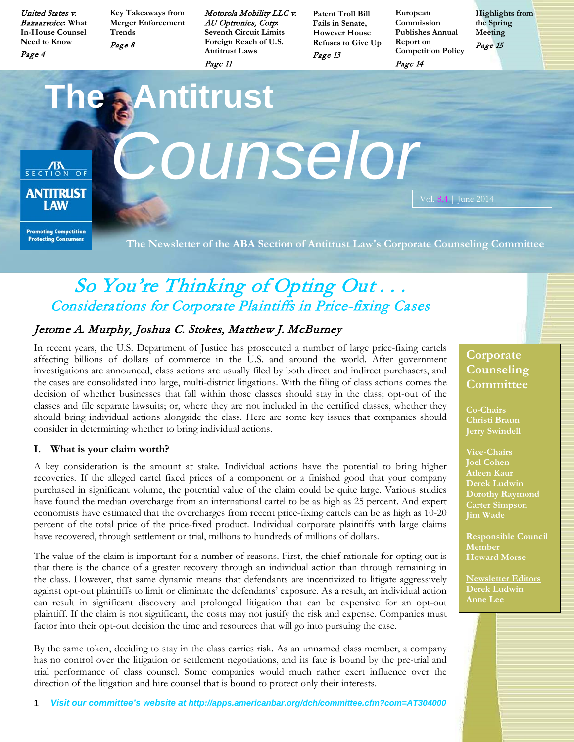United States v. Bazaarvoice**: What In-House Counsel Need to Know**

Page 4

**Key Takeaways from Merger Enforcement Trends** Page 8

Motorola Mobility LLC v. AU Optronics, Corp**: Seventh Circuit Limits Foreign Reach of U.S. Antitrust Laws**

Page 11

**Patent Troll Bill Fails in Senate, However House Refuses to Give Up** Page 13

**European Commission Publishes Annual Report on Competition Policy**

**Highlights from the Spring Meeting** Page 15

Page 14

I AW

**The Antitrust ANTIRUST COUNSelor** Vol. 8.4 | June 2014

**Promoting Competition Protecting Consumers** 

**The Newsletter of the ABA Section of Antitrust Law's Corporate Counseling Committee**

# So You're Thinking of Opting Out... Considerations for Corporate Plaintiffs in Price-fixing Cases

# Jerome A. Murphy, Joshua C. Stokes, Matthew J. McBurney

In recent years, the U.S. Department of Justice has prosecuted a number of large price-fixing cartels affecting billions of dollars of commerce in the U.S. and around the world. After government investigations are announced, class actions are usually filed by both direct and indirect purchasers, and the cases are consolidated into large, multi-district litigations. With the filing of class actions comes the decision of whether businesses that fall within those classes should stay in the class; opt-out of the classes and file separate lawsuits; or, where they are not included in the certified classes, whether they should bring individual actions alongside the class. Here are some key issues that companies should consider in determining whether to bring individual actions.

### **I. What is your claim worth?**

A key consideration is the amount at stake. Individual actions have the potential to bring higher recoveries. If the alleged cartel fixed prices of a component or a finished good that your company purchased in significant volume, the potential value of the claim could be quite large. Various studies have found the median overcharge from an international cartel to be as high as 25 percent. And expert economists have estimated that the overcharges from recent price-fixing cartels can be as high as 10-20 percent of the total price of the price-fixed product. Individual corporate plaintiffs with large claims have recovered, through settlement or trial, millions to hundreds of millions of dollars.

The value of the claim is important for a number of reasons. First, the chief rationale for opting out is that there is the chance of a greater recovery through an individual action than through remaining in the class. However, that same dynamic means that defendants are incentivized to litigate aggressively against opt-out plaintiffs to limit or eliminate the defendants' exposure. As a result, an individual action can result in significant discovery and prolonged litigation that can be expensive for an opt-out plaintiff. If the claim is not significant, the costs may not justify the risk and expense. Companies must factor into their opt-out decision the time and resources that will go into pursuing the case.

By the same token, deciding to stay in the class carries risk. As an unnamed class member, a company has no control over the litigation or settlement negotiations, and its fate is bound by the pre-trial and trial performance of class counsel. Some companies would much rather exert influence over the direction of the litigation and hire counsel that is bound to protect only their interests.

# **Corporate Counseling Committee**

**Co-Chairs Christi Braun Jerry Swindell**

**Vice-Chairs Joel Cohen Atleen Kaur Derek Ludwin Dorothy Raymond Carter Simpson Jim Wade**

**Responsible Council Member Howard Morse**

**Newsletter Editors Derek Ludwin Anne Lee**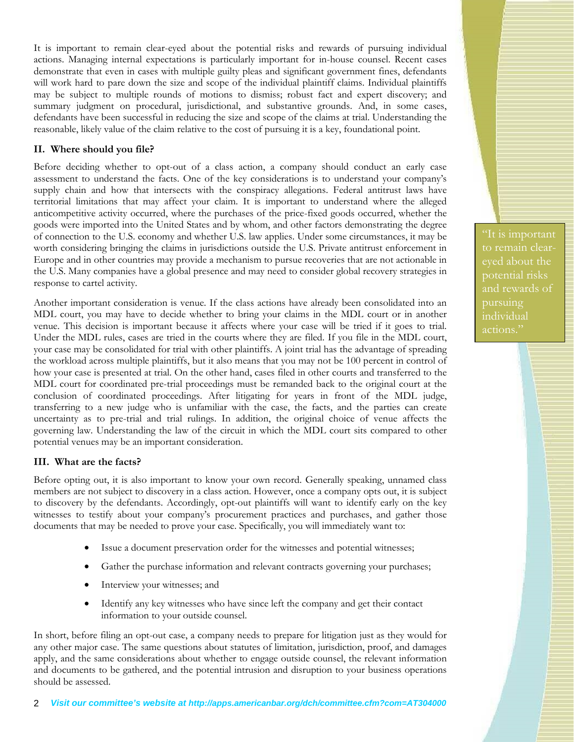It is important to remain clear-eyed about the potential risks and rewards of pursuing individual actions. Managing internal expectations is particularly important for in-house counsel. Recent cases demonstrate that even in cases with multiple guilty pleas and significant government fines, defendants will work hard to pare down the size and scope of the individual plaintiff claims. Individual plaintiffs may be subject to multiple rounds of motions to dismiss; robust fact and expert discovery; and summary judgment on procedural, jurisdictional, and substantive grounds. And, in some cases, defendants have been successful in reducing the size and scope of the claims at trial. Understanding the reasonable, likely value of the claim relative to the cost of pursuing it is a key, foundational point.

### **II. Where should you file?**

Before deciding whether to opt-out of a class action, a company should conduct an early case assessment to understand the facts. One of the key considerations is to understand your company's supply chain and how that intersects with the conspiracy allegations. Federal antitrust laws have territorial limitations that may affect your claim. It is important to understand where the alleged anticompetitive activity occurred, where the purchases of the price-fixed goods occurred, whether the goods were imported into the United States and by whom, and other factors demonstrating the degree of connection to the U.S. economy and whether U.S. law applies. Under some circumstances, it may be worth considering bringing the claims in jurisdictions outside the U.S. Private antitrust enforcement in Europe and in other countries may provide a mechanism to pursue recoveries that are not actionable in the U.S. Many companies have a global presence and may need to consider global recovery strategies in response to cartel activity.

Another important consideration is venue. If the class actions have already been consolidated into an MDL court, you may have to decide whether to bring your claims in the MDL court or in another venue. This decision is important because it affects where your case will be tried if it goes to trial. Under the MDL rules, cases are tried in the courts where they are filed. If you file in the MDL court, your case may be consolidated for trial with other plaintiffs. A joint trial has the advantage of spreading the workload across multiple plaintiffs, but it also means that you may not be 100 percent in control of how your case is presented at trial. On the other hand, cases filed in other courts and transferred to the MDL court for coordinated pre-trial proceedings must be remanded back to the original court at the conclusion of coordinated proceedings. After litigating for years in front of the MDL judge, transferring to a new judge who is unfamiliar with the case, the facts, and the parties can create uncertainty as to pre-trial and trial rulings. In addition, the original choice of venue affects the governing law. Understanding the law of the circuit in which the MDL court sits compared to other potential venues may be an important consideration.

### **III. What are the facts?**

Before opting out, it is also important to know your own record. Generally speaking, unnamed class members are not subject to discovery in a class action. However, once a company opts out, it is subject to discovery by the defendants. Accordingly, opt-out plaintiffs will want to identify early on the key witnesses to testify about your company's procurement practices and purchases, and gather those documents that may be needed to prove your case. Specifically, you will immediately want to:

- Issue a document preservation order for the witnesses and potential witnesses;
- Gather the purchase information and relevant contracts governing your purchases;
- Interview your witnesses; and
- Identify any key witnesses who have since left the company and get their contact information to your outside counsel.

In short, before filing an opt-out case, a company needs to prepare for litigation just as they would for any other major case. The same questions about statutes of limitation, jurisdiction, proof, and damages apply, and the same considerations about whether to engage outside counsel, the relevant information and documents to be gathered, and the potential intrusion and disruption to your business operations should be assessed.

"It is important to remain cleareyed about the potential risks and rewards of pursuing individual actions."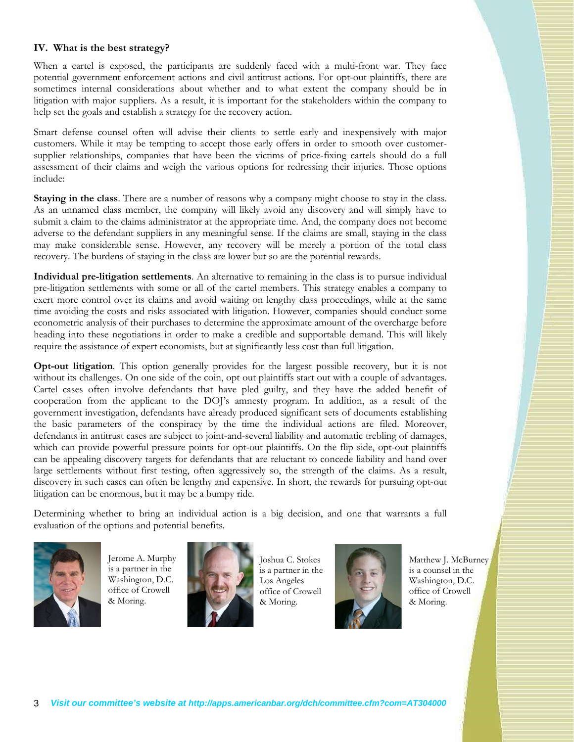### **IV. What is the best strategy?**

When a cartel is exposed, the participants are suddenly faced with a multi-front war. They face potential government enforcement actions and civil antitrust actions. For opt-out plaintiffs, there are sometimes internal considerations about whether and to what extent the company should be in litigation with major suppliers. As a result, it is important for the stakeholders within the company to help set the goals and establish a strategy for the recovery action.

Smart defense counsel often will advise their clients to settle early and inexpensively with major customers. While it may be tempting to accept those early offers in order to smooth over customersupplier relationships, companies that have been the victims of price-fixing cartels should do a full assessment of their claims and weigh the various options for redressing their injuries. Those options include:

**Staying in the class**. There are a number of reasons why a company might choose to stay in the class. As an unnamed class member, the company will likely avoid any discovery and will simply have to submit a claim to the claims administrator at the appropriate time. And, the company does not become adverse to the defendant suppliers in any meaningful sense. If the claims are small, staying in the class may make considerable sense. However, any recovery will be merely a portion of the total class recovery. The burdens of staying in the class are lower but so are the potential rewards.

**Individual pre-litigation settlements**. An alternative to remaining in the class is to pursue individual pre-litigation settlements with some or all of the cartel members. This strategy enables a company to exert more control over its claims and avoid waiting on lengthy class proceedings, while at the same time avoiding the costs and risks associated with litigation. However, companies should conduct some econometric analysis of their purchases to determine the approximate amount of the overcharge before heading into these negotiations in order to make a credible and supportable demand. This will likely require the assistance of expert economists, but at significantly less cost than full litigation.

**Opt-out litigation**. This option generally provides for the largest possible recovery, but it is not without its challenges. On one side of the coin, opt out plaintiffs start out with a couple of advantages. Cartel cases often involve defendants that have pled guilty, and they have the added benefit of cooperation from the applicant to the DOJ's amnesty program. In addition, as a result of the government investigation, defendants have already produced significant sets of documents establishing the basic parameters of the conspiracy by the time the individual actions are filed. Moreover, defendants in antitrust cases are subject to joint-and-several liability and automatic trebling of damages, which can provide powerful pressure points for opt-out plaintiffs. On the flip side, opt-out plaintiffs can be appealing discovery targets for defendants that are reluctant to concede liability and hand over large settlements without first testing, often aggressively so, the strength of the claims. As a result, discovery in such cases can often be lengthy and expensive. In short, the rewards for pursuing opt-out litigation can be enormous, but it may be a bumpy ride.

Determining whether to bring an individual action is a big decision, and one that warrants a full evaluation of the options and potential benefits.

Jerome A. Murphy is a partner in the Washington, D.C. office of Crowell & Moring.



Joshua C. Stokes is a partner in the Los Angeles office of Crowell & Moring.



Matthew J. McBurney is a counsel in the Washington, D.C. office of Crowell & Moring.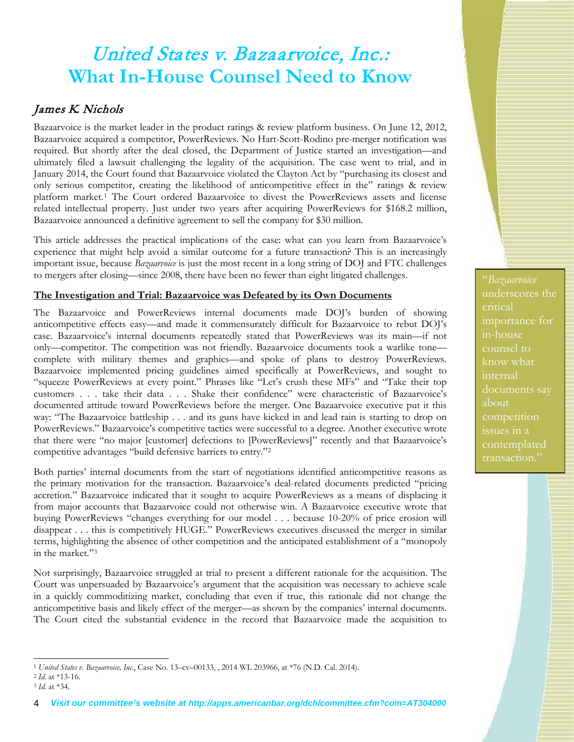# United States v. Bazaarvoice, Inc.: **What In-House Counsel Need to Know**

# James K. Nichols

Bazaarvoice is the market leader in the product ratings & review platform business. On June 12, 2012, Bazaarvoice acquired a competitor, PowerReviews. No Hart-Scott-Rodino pre-merger notification was required. But shortly after the deal closed, the Department of Justice started an investigation—and ultimately filed a lawsuit challenging the legality of the acquisition. The case went to trial, and in January 2014, the Court found that Bazaarvoice violated the Clayton Act by "purchasing its closest and only serious competitor, creating the likelihood of anticompetitive effect in the" ratings & review platform market.[1](#page-3-0) The Court ordered Bazaarvoice to divest the PowerReviews assets and license related intellectual property. Just under two years after acquiring PowerReviews for \$168.2 million, Bazaarvoice announced a definitive agreement to sell the company for \$30 million.

This article addresses the practical implications of the case: what can you learn from Bazaarvoice's experience that might help avoid a similar outcome for a future transaction? This is an increasingly important issue, because *Bazaarvoice* is just the most recent in a long string of DOJ and FTC challenges to mergers after closing—since 2008, there have been no fewer than eight litigated challenges.

### **The Investigation and Trial: Bazaarvoice was Defeated by its Own Documents**

The Bazaarvoice and PowerReviews internal documents made DOJ's burden of showing anticompetitive effects easy—and made it commensurately difficult for Bazaarvoice to rebut DOJ's case. Bazaarvoice's internal documents repeatedly stated that PowerReviews was its main—if not only—competitor. The competition was not friendly. Bazaarvoice documents took a warlike tone complete with military themes and graphics—and spoke of plans to destroy PowerReviews. Bazaarvoice implemented pricing guidelines aimed specifically at PowerReviews, and sought to "squeeze PowerReviews at every point." Phrases like "Let's crush these MFs" and "Take their top customers . . . take their data . . . Shake their confidence" were characteristic of Bazaarvoice's documented attitude toward PowerReviews before the merger. One Bazaarvoice executive put it this way: "The Bazaarvoice battleship . . . and its guns have kicked in and lead rain is starting to drop on PowerReviews." Bazaarvoice's competitive tactics were successful to a degree. Another executive wrote that there were "no major [customer] defections to [PowerReviews]" recently and that Bazaarvoice's competitive advantages "build defensive barriers to entry."[2](#page-3-1)

Both parties' internal documents from the start of negotiations identified anticompetitive reasons as the primary motivation for the transaction. Bazaarvoice's deal-related documents predicted "pricing accretion." Bazaarvoice indicated that it sought to acquire PowerReviews as a means of displacing it from major accounts that Bazaarvoice could not otherwise win. A Bazaarvoice executive wrote that buying PowerReviews "changes everything for our model . . . because 10-20% of price erosion will disappear . . . this is competitively HUGE." PowerReviews executives discussed the merger in similar terms, highlighting the absence of other competition and the anticipated establishment of a "monopoly in the market.["3](#page-3-2)

Not surprisingly, Bazaarvoice struggled at trial to present a different rationale for the acquisition. The Court was unpersuaded by Bazaarvoice's argument that the acquisition was necessary to achieve scale in a quickly commoditizing market, concluding that even if true, this rationale did not change the anticompetitive basis and likely effect of the merger—as shown by the companies' internal documents. The Court cited the substantial evidence in the record that Bazaarvoice made the acquisition to

"*Bazaarvoice* underscores the critical in-house counsel to know what internal documents say about issues in a contemplated transaction."

<span id="page-3-0"></span><sup>-</sup><sup>1</sup> *United States v. Bazaarvoice, Inc*., Case No. 13–cv–00133, , 2014 WL 203966, at \*76 (N.D. Cal. 2014).

<span id="page-3-1"></span><sup>2</sup> *Id.* at \*13-16.

<span id="page-3-2"></span><sup>3</sup> *Id.* at \*34.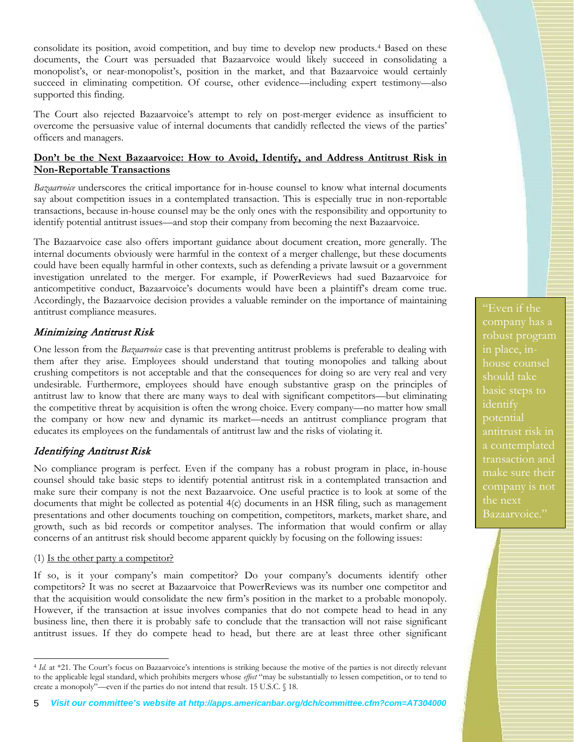consolidate its position, avoid competition, and buy time to develop new products.[4](#page-4-0) Based on these documents, the Court was persuaded that Bazaarvoice would likely succeed in consolidating a monopolist's, or near-monopolist's, position in the market, and that Bazaarvoice would certainly succeed in eliminating competition. Of course, other evidence—including expert testimony—also supported this finding.

The Court also rejected Bazaarvoice's attempt to rely on post-merger evidence as insufficient to overcome the persuasive value of internal documents that candidly reflected the views of the parties' officers and managers.

### **Don't be the Next Bazaarvoice: How to Avoid, Identify, and Address Antitrust Risk in Non-Reportable Transactions**

*Bazaarvoice* underscores the critical importance for in-house counsel to know what internal documents say about competition issues in a contemplated transaction. This is especially true in non-reportable transactions, because in-house counsel may be the only ones with the responsibility and opportunity to identify potential antitrust issues—and stop their company from becoming the next Bazaarvoice.

The Bazaarvoice case also offers important guidance about document creation, more generally. The internal documents obviously were harmful in the context of a merger challenge, but these documents could have been equally harmful in other contexts, such as defending a private lawsuit or a government investigation unrelated to the merger. For example, if PowerReviews had sued Bazaarvoice for anticompetitive conduct, Bazaarvoice's documents would have been a plaintiff's dream come true. Accordingly, the Bazaarvoice decision provides a valuable reminder on the importance of maintaining antitrust compliance measures.

### Minimizing Antitrust Risk

One lesson from the *Bazaarvoice* case is that preventing antitrust problems is preferable to dealing with them after they arise. Employees should understand that touting monopolies and talking about crushing competitors is not acceptable and that the consequences for doing so are very real and very undesirable. Furthermore, employees should have enough substantive grasp on the principles of antitrust law to know that there are many ways to deal with significant competitors—but eliminating the competitive threat by acquisition is often the wrong choice. Every company—no matter how small the company or how new and dynamic its market—needs an antitrust compliance program that educates its employees on the fundamentals of antitrust law and the risks of violating it.

## Identifying Antitrust Risk

No compliance program is perfect. Even if the company has a robust program in place, in-house counsel should take basic steps to identify potential antitrust risk in a contemplated transaction and make sure their company is not the next Bazaarvoice. One useful practice is to look at some of the documents that might be collected as potential 4(c) documents in an HSR filing, such as management presentations and other documents touching on competition, competitors, markets, market share, and growth, such as bid records or competitor analyses. The information that would confirm or allay concerns of an antitrust risk should become apparent quickly by focusing on the following issues:

#### (1) Is the other party a competitor?

-

If so, is it your company's main competitor? Do your company's documents identify other competitors? It was no secret at Bazaarvoice that PowerReviews was its number one competitor and that the acquisition would consolidate the new firm's position in the market to a probable monopoly. However, if the transaction at issue involves companies that do not compete head to head in any business line, then there it is probably safe to conclude that the transaction will not raise significant antitrust issues. If they do compete head to head, but there are at least three other significant

"Even if the company has a robust program house counsel should take identify potential a contemplated make sure their company is not the next Bazaarvoice."

<span id="page-4-0"></span><sup>4</sup> *Id.* at \*21. The Court's focus on Bazaarvoice's intentions is striking because the motive of the parties is not directly relevant to the applicable legal standard, which prohibits mergers whose *effect* "may be substantially to lessen competition, or to tend to create a monopoly"—even if the parties do not intend that result. 15 U.S.C. § 18.

<sup>5</sup> *Visit our committee's website at http://apps.americanbar.org/dch/committee.cfm?com=AT304000*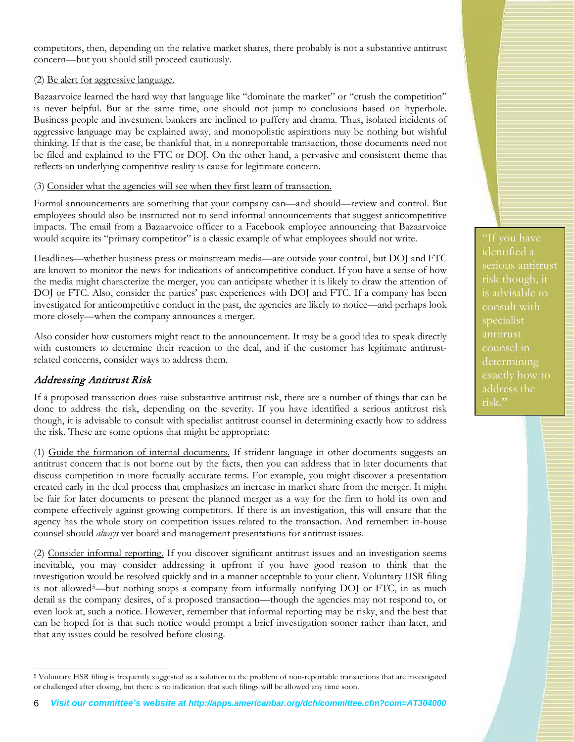competitors, then, depending on the relative market shares, there probably is not a substantive antitrust concern—but you should still proceed cautiously.

(2) Be alert for aggressive language.

Bazaarvoice learned the hard way that language like "dominate the market" or "crush the competition" is never helpful. But at the same time, one should not jump to conclusions based on hyperbole. Business people and investment bankers are inclined to puffery and drama. Thus, isolated incidents of aggressive language may be explained away, and monopolistic aspirations may be nothing but wishful thinking. If that is the case, be thankful that, in a nonreportable transaction, those documents need not be filed and explained to the FTC or DOJ. On the other hand, a pervasive and consistent theme that reflects an underlying competitive reality is cause for legitimate concern.

### (3) Consider what the agencies will see when they first learn of transaction.

Formal announcements are something that your company can—and should—review and control. But employees should also be instructed not to send informal announcements that suggest anticompetitive impacts. The email from a Bazaarvoice officer to a Facebook employee announcing that Bazaarvoice would acquire its "primary competitor" is a classic example of what employees should not write.

Headlines—whether business press or mainstream media—are outside your control, but DOJ and FTC are known to monitor the news for indications of anticompetitive conduct. If you have a sense of how the media might characterize the merger, you can anticipate whether it is likely to draw the attention of DOJ or FTC. Also, consider the parties' past experiences with DOJ and FTC. If a company has been investigated for anticompetitive conduct in the past, the agencies are likely to notice—and perhaps look more closely—when the company announces a merger.

Also consider how customers might react to the announcement. It may be a good idea to speak directly with customers to determine their reaction to the deal, and if the customer has legitimate antitrustrelated concerns, consider ways to address them.

### Addressing Antitrust Risk

If a proposed transaction does raise substantive antitrust risk, there are a number of things that can be done to address the risk, depending on the severity. If you have identified a serious antitrust risk though, it is advisable to consult with specialist antitrust counsel in determining exactly how to address the risk. These are some options that might be appropriate:

(1) Guide the formation of internal documents. If strident language in other documents suggests an antitrust concern that is not borne out by the facts, then you can address that in later documents that discuss competition in more factually accurate terms. For example, you might discover a presentation created early in the deal process that emphasizes an increase in market share from the merger. It might be fair for later documents to present the planned merger as a way for the firm to hold its own and compete effectively against growing competitors. If there is an investigation, this will ensure that the agency has the whole story on competition issues related to the transaction. And remember: in-house counsel should *always* vet board and management presentations for antitrust issues.

(2) Consider informal reporting. If you discover significant antitrust issues and an investigation seems inevitable, you may consider addressing it upfront if you have good reason to think that the investigation would be resolved quickly and in a manner acceptable to your client. Voluntary HSR filing is not allowed<sup>5</sup>—but nothing stops a company from informally notifying DOJ or FTC, in as much detail as the company desires, of a proposed transaction—though the agencies may not respond to, or even look at, such a notice. However, remember that informal reporting may be risky, and the best that can be hoped for is that such notice would prompt a brief investigation sooner rather than later, and that any issues could be resolved before closing.

"If you have identified a serious antitrust risk though, it is advisable to consult with specialist antitrust counsel in determining exactly how to address the risk."

<span id="page-5-0"></span><sup>-</sup><sup>5</sup> Voluntary HSR filing is frequently suggested as a solution to the problem of non-reportable transactions that are investigated or challenged after closing, but there is no indication that such filings will be allowed any time soon.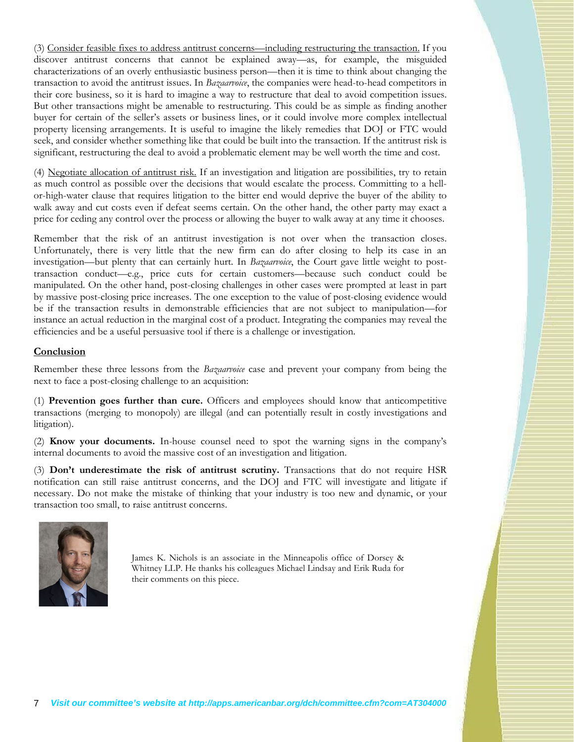(3) Consider feasible fixes to address antitrust concerns—including restructuring the transaction. If you discover antitrust concerns that cannot be explained away—as, for example, the misguided characterizations of an overly enthusiastic business person—then it is time to think about changing the transaction to avoid the antitrust issues. In *Bazaarvoice*, the companies were head-to-head competitors in their core business, so it is hard to imagine a way to restructure that deal to avoid competition issues. But other transactions might be amenable to restructuring. This could be as simple as finding another buyer for certain of the seller's assets or business lines, or it could involve more complex intellectual property licensing arrangements. It is useful to imagine the likely remedies that DOJ or FTC would seek, and consider whether something like that could be built into the transaction. If the antitrust risk is significant, restructuring the deal to avoid a problematic element may be well worth the time and cost.

(4) Negotiate allocation of antitrust risk. If an investigation and litigation are possibilities, try to retain as much control as possible over the decisions that would escalate the process. Committing to a hellor-high-water clause that requires litigation to the bitter end would deprive the buyer of the ability to walk away and cut costs even if defeat seems certain. On the other hand, the other party may exact a price for ceding any control over the process or allowing the buyer to walk away at any time it chooses.

Remember that the risk of an antitrust investigation is not over when the transaction closes. Unfortunately, there is very little that the new firm can do after closing to help its case in an investigation—but plenty that can certainly hurt. In *Bazaarvoice*, the Court gave little weight to posttransaction conduct—e.g., price cuts for certain customers—because such conduct could be manipulated. On the other hand, post-closing challenges in other cases were prompted at least in part by massive post-closing price increases. The one exception to the value of post-closing evidence would be if the transaction results in demonstrable efficiencies that are not subject to manipulation—for instance an actual reduction in the marginal cost of a product. Integrating the companies may reveal the efficiencies and be a useful persuasive tool if there is a challenge or investigation.

### **Conclusion**

Remember these three lessons from the *Bazaarvoice* case and prevent your company from being the next to face a post-closing challenge to an acquisition:

(1) **Prevention goes further than cure.** Officers and employees should know that anticompetitive transactions (merging to monopoly) are illegal (and can potentially result in costly investigations and litigation).

(2) **Know your documents.** In-house counsel need to spot the warning signs in the company's internal documents to avoid the massive cost of an investigation and litigation.

(3) **Don't underestimate the risk of antitrust scrutiny.** Transactions that do not require HSR notification can still raise antitrust concerns, and the DOJ and FTC will investigate and litigate if necessary. Do not make the mistake of thinking that your industry is too new and dynamic, or your transaction too small, to raise antitrust concerns.



James K. Nichols is an associate in the Minneapolis office of Dorsey & Whitney LLP. He thanks his colleagues Michael Lindsay and Erik Ruda for their comments on this piece.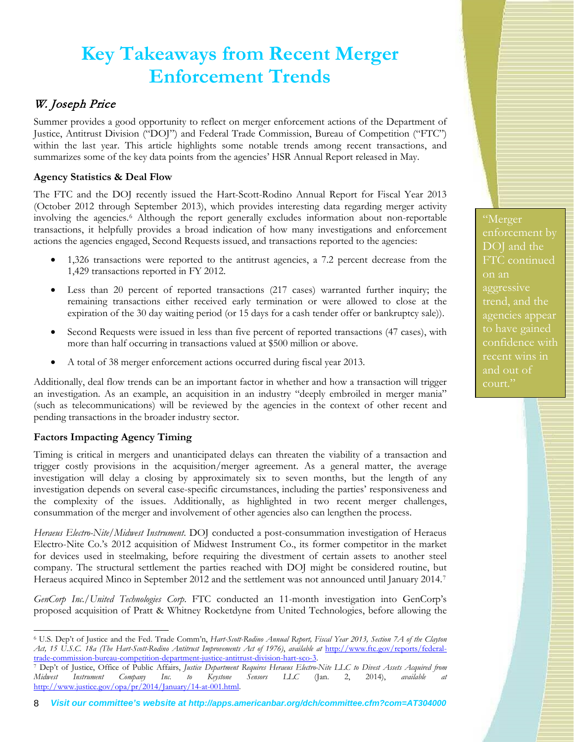# **Key Takeaways from Recent Merger Enforcement Trends**

## W. Joseph Price

Summer provides a good opportunity to reflect on merger enforcement actions of the Department of Justice, Antitrust Division ("DOJ") and Federal Trade Commission, Bureau of Competition ("FTC") within the last year. This article highlights some notable trends among recent transactions, and summarizes some of the key data points from the agencies' HSR Annual Report released in May.

### **Agency Statistics & Deal Flow**

The FTC and the DOJ recently issued the Hart-Scott-Rodino Annual Report for Fiscal Year 2013 (October 2012 through September 2013), which provides interesting data regarding merger activity involving the agencies.[6](#page-7-0) Although the report generally excludes information about non-reportable transactions, it helpfully provides a broad indication of how many investigations and enforcement actions the agencies engaged, Second Requests issued, and transactions reported to the agencies:

- 1,326 transactions were reported to the antitrust agencies, a 7.2 percent decrease from the 1,429 transactions reported in FY 2012.
- Less than 20 percent of reported transactions (217 cases) warranted further inquiry; the remaining transactions either received early termination or were allowed to close at the expiration of the 30 day waiting period (or 15 days for a cash tender offer or bankruptcy sale)).
- Second Requests were issued in less than five percent of reported transactions (47 cases), with more than half occurring in transactions valued at \$500 million or above.
- A total of 38 merger enforcement actions occurred during fiscal year 2013.

Additionally, deal flow trends can be an important factor in whether and how a transaction will trigger an investigation. As an example, an acquisition in an industry "deeply embroiled in merger mania" (such as telecommunications) will be reviewed by the agencies in the context of other recent and pending transactions in the broader industry sector.

## **Factors Impacting Agency Timing**

Timing is critical in mergers and unanticipated delays can threaten the viability of a transaction and trigger costly provisions in the acquisition/merger agreement. As a general matter, the average investigation will delay a closing by approximately six to seven months, but the length of any investigation depends on several case-specific circumstances, including the parties' responsiveness and the complexity of the issues. Additionally, as highlighted in two recent merger challenges, consummation of the merger and involvement of other agencies also can lengthen the process.

*Heraeus Electro-Nite/Midwest Instrument*. DOJ conducted a post-consummation investigation of Heraeus Electro-Nite Co.'s 2012 acquisition of Midwest Instrument Co., its former competitor in the market for devices used in steelmaking, before requiring the divestment of certain assets to another steel company. The structural settlement the parties reached with DOJ might be considered routine, but Heraeus acquired Minco in September 2012 and the settlement was not announced until January 2014[.7](#page-7-1)

*GenCorp Inc./United Technologies Corp*. FTC conducted an 11-month investigation into GenCorp's proposed acquisition of Pratt & Whitney Rocketdyne from United Technologies, before allowing the

FTC continued on an aggressive trend, and the agencies appear confidence with recent wins in and out of court."

<span id="page-7-0"></span><sup>-</sup><sup>6</sup> U.S. Dep't of Justice and the Fed. Trade Comm'n, *Hart-Scott-Rodino Annual Report, Fiscal Year 2013, Section 7A of the Clayton Act, 15 U.S.C. 18a (The Hart-Scott-Rodino Antitrust Improvements Act of 1976)*, *available at* [http://www.ftc.gov/reports/federal-](http://www.ftc.gov/reports/federal-trade-commission-bureau-competition-department-justice-antitrust-division-hart-sco-3)

<span id="page-7-1"></span>[trade-commission-bureau-competition-department-justice-antitrust-division-hart-sco-3.](http://www.ftc.gov/reports/federal-trade-commission-bureau-competition-department-justice-antitrust-division-hart-sco-3) 7 Dep't of Justice, Office of Public Affairs, *Justice Department Requires Heraeus Electro-Nite LLC to Divest Assets Acquired from Midwest Instrument Company Inc. to Keystone Sensors LLC* (Jan. 2, 2014), *available at* [http://www.justice.gov/opa/pr/2014/January/14-at-001.html.](http://www.justice.gov/opa/pr/2014/January/14-at-001.html)

<sup>8</sup> *Visit our committee's website at http://apps.americanbar.org/dch/committee.cfm?com=AT304000*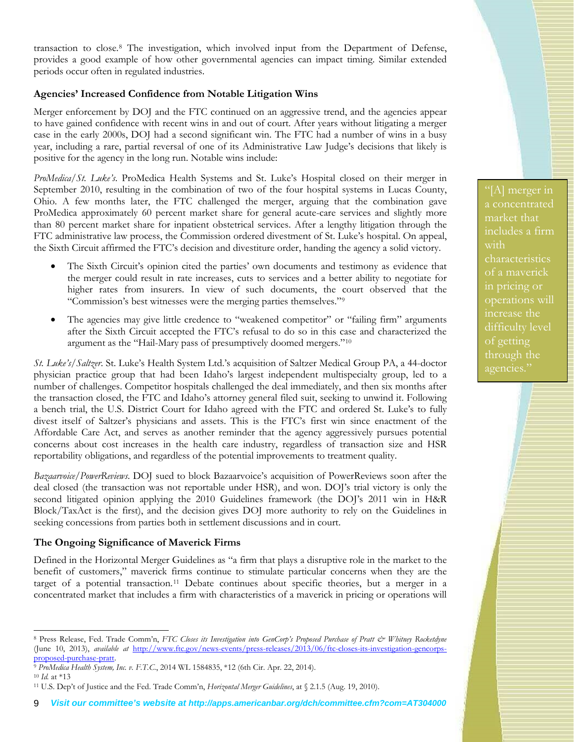transaction to close.[8](#page-8-0) The investigation, which involved input from the Department of Defense, provides a good example of how other governmental agencies can impact timing. Similar extended periods occur often in regulated industries.

### **Agencies' Increased Confidence from Notable Litigation Wins**

Merger enforcement by DOJ and the FTC continued on an aggressive trend, and the agencies appear to have gained confidence with recent wins in and out of court. After years without litigating a merger case in the early 2000s, DOJ had a second significant win. The FTC had a number of wins in a busy year, including a rare, partial reversal of one of its Administrative Law Judge's decisions that likely is positive for the agency in the long run. Notable wins include:

*ProMedica/St. Luke's*. ProMedica Health Systems and St. Luke's Hospital closed on their merger in September 2010, resulting in the combination of two of the four hospital systems in Lucas County, Ohio. A few months later, the FTC challenged the merger, arguing that the combination gave ProMedica approximately 60 percent market share for general acute-care services and slightly more than 80 percent market share for inpatient obstetrical services. After a lengthy litigation through the FTC administrative law process, the Commission ordered divestment of St. Luke's hospital. On appeal, the Sixth Circuit affirmed the FTC's decision and divestiture order, handing the agency a solid victory.

- The Sixth Circuit's opinion cited the parties' own documents and testimony as evidence that the merger could result in rate increases, cuts to services and a better ability to negotiate for higher rates from insurers. In view of such documents, the court observed that the "Commission's best witnesses were the merging parties themselves."[9](#page-8-1)
- The agencies may give little credence to "weakened competitor" or "failing firm" arguments after the Sixth Circuit accepted the FTC's refusal to do so in this case and characterized the argument as the "Hail-Mary pass of presumptively doomed mergers."[10](#page-8-2)

*St. Luke's/Saltzer*. St. Luke's Health System Ltd.'s acquisition of Saltzer Medical Group PA, a 44-doctor physician practice group that had been Idaho's largest independent multispecialty group, led to a number of challenges. Competitor hospitals challenged the deal immediately, and then six months after the transaction closed, the FTC and Idaho's attorney general filed suit, seeking to unwind it. Following a bench trial, the U.S. District Court for Idaho agreed with the FTC and ordered St. Luke's to fully divest itself of Saltzer's physicians and assets. This is the FTC's first win since enactment of the Affordable Care Act, and serves as another reminder that the agency aggressively pursues potential concerns about cost increases in the health care industry, regardless of transaction size and HSR reportability obligations, and regardless of the potential improvements to treatment quality.

*Bazaarvoice/PowerReviews*. DOJ sued to block Bazaarvoice's acquisition of PowerReviews soon after the deal closed (the transaction was not reportable under HSR), and won. DOJ's trial victory is only the second litigated opinion applying the 2010 Guidelines framework (the DOJ's 2011 win in H&R Block/TaxAct is the first), and the decision gives DOJ more authority to rely on the Guidelines in seeking concessions from parties both in settlement discussions and in court.

### **The Ongoing Significance of Maverick Firms**

Defined in the Horizontal Merger Guidelines as "a firm that plays a disruptive role in the market to the benefit of customers," maverick firms continue to stimulate particular concerns when they are the target of a potential transaction.<sup>[11](#page-8-3)</sup> Debate continues about specific theories, but a merger in a concentrated market that includes a firm with characteristics of a maverick in pricing or operations will a concentrated market that includes a firm with characteristics of a maverick operations will increase the difficulty level through the agencies."

<span id="page-8-0"></span><sup>-</sup>8 Press Release, Fed. Trade Comm'n, *FTC Closes its Investigation into GenCorp's Proposed Purchase of Pratt & Whitney Rocketdyne* (June 10, 2013), *available at* [http://www.ftc.gov/news-events/press-releases/2013/06/ftc-closes-its-investigation-gencorps-](http://www.ftc.gov/news-events/press-releases/2013/06/ftc-closes-its-investigation-gencorps-proposed-purchase-pratt)

<span id="page-8-1"></span>[proposed-purchase-pratt.](http://www.ftc.gov/news-events/press-releases/2013/06/ftc-closes-its-investigation-gencorps-proposed-purchase-pratt) 9 *ProMedica Health System, Inc. v. F.T.C.*, 2014 WL 1584835, \*12 (6th Cir. Apr. 22, 2014). <sup>10</sup> *Id.* at \*13

<span id="page-8-3"></span><span id="page-8-2"></span><sup>11</sup> U.S. Dep't of Justice and the Fed. Trade Comm'n, *Horizontal Merger Guidelines*, at § 2.1.5 (Aug. 19, 2010).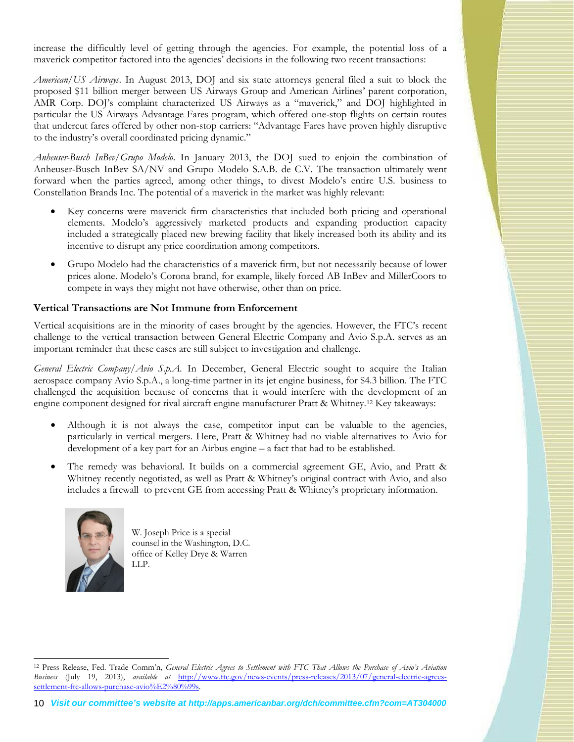increase the difficultly level of getting through the agencies. For example, the potential loss of a maverick competitor factored into the agencies' decisions in the following two recent transactions:

*American/US Airways*. In August 2013, DOJ and six state attorneys general filed a suit to block the proposed \$11 billion merger between US Airways Group and American Airlines' parent corporation, AMR Corp. DOJ's complaint characterized US Airways as a "maverick," and DOJ highlighted in particular the US Airways Advantage Fares program, which offered one-stop flights on certain routes that undercut fares offered by other non-stop carriers: "Advantage Fares have proven highly disruptive to the industry's overall coordinated pricing dynamic."

*Anheuser-Busch InBev/Grupo Modelo*. In January 2013, the DOJ sued to enjoin the combination of Anheuser-Busch InBev SA/NV and Grupo Modelo S.A.B. de C.V. The transaction ultimately went forward when the parties agreed, among other things, to divest Modelo's entire U.S. business to Constellation Brands Inc. The potential of a maverick in the market was highly relevant:

- Key concerns were maverick firm characteristics that included both pricing and operational elements. Modelo's aggressively marketed products and expanding production capacity included a strategically placed new brewing facility that likely increased both its ability and its incentive to disrupt any price coordination among competitors.
- Grupo Modelo had the characteristics of a maverick firm, but not necessarily because of lower prices alone. Modelo's Corona brand, for example, likely forced AB InBev and MillerCoors to compete in ways they might not have otherwise, other than on price.

### **Vertical Transactions are Not Immune from Enforcement**

Vertical acquisitions are in the minority of cases brought by the agencies. However, the FTC's recent challenge to the vertical transaction between General Electric Company and Avio S.p.A. serves as an important reminder that these cases are still subject to investigation and challenge.

*General Electric Company/Avio S.p.A.* In December, General Electric sought to acquire the Italian aerospace company Avio S.p.A., a long-time partner in its jet engine business, for \$4.3 billion. The FTC challenged the acquisition because of concerns that it would interfere with the development of an engine component designed for rival aircraft engine manufacturer Pratt & Whitney.[12](#page-9-0) Key takeaways:

- Although it is not always the case, competitor input can be valuable to the agencies, particularly in vertical mergers. Here, Pratt & Whitney had no viable alternatives to Avio for development of a key part for an Airbus engine – a fact that had to be established.
- The remedy was behavioral. It builds on a commercial agreement GE, Avio, and Pratt & Whitney recently negotiated, as well as Pratt & Whitney's original contract with Avio, and also includes a firewall to prevent GE from accessing Pratt & Whitney's proprietary information.



W. Joseph Price is a special counsel in the Washington, D.C. office of Kelley Drye & Warren LLP.

<span id="page-9-0"></span><sup>-</sup><sup>12</sup> Press Release, Fed. Trade Comm'n, *General Electric Agrees to Settlement with FTC That Allows the Purchase of Avio's Aviation Business* (July 19, 2013), *available at* [http://www.ftc.gov/news-events/press-releases/2013/07/general-electric-agrees](http://www.ftc.gov/news-events/press-releases/2013/07/general-electric-agrees-settlement-ftc-allows-purchase-avio%E2%80%99s)[settlement-ftc-allows-purchase-avio%E2%80%99s.](http://www.ftc.gov/news-events/press-releases/2013/07/general-electric-agrees-settlement-ftc-allows-purchase-avio%E2%80%99s)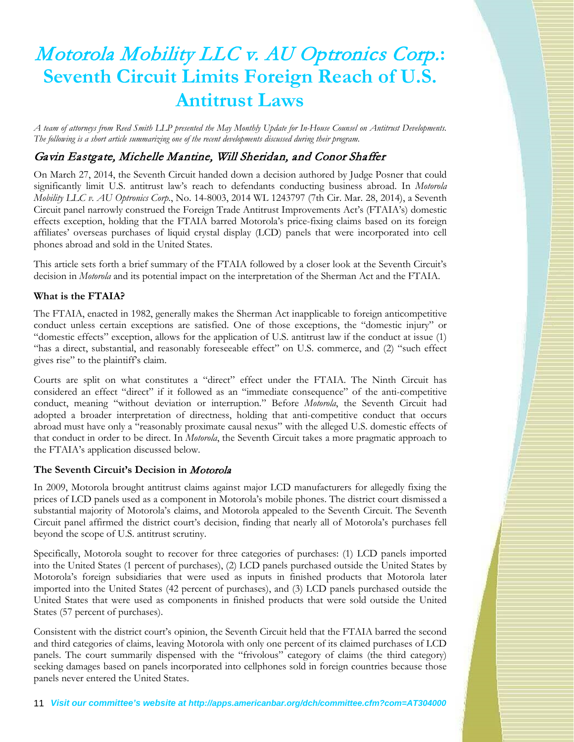# Motorola Mobility LLC v. AU Optronics Corp.**: Seventh Circuit Limits Foreign Reach of U.S. Antitrust Laws**

*A team of attorneys from Reed Smith LLP presented the May Monthly Update for In-House Counsel on Antitrust Developments. The following is a short article summarizing one of the recent developments discussed during their program.*

## Gavin Eastgate, Michelle Mantine, Will Sheridan, and Conor Shaffer

On March 27, 2014, the Seventh Circuit handed down a decision authored by Judge Posner that could significantly limit U.S. antitrust law's reach to defendants conducting business abroad. In *Motorola Mobility LLC v. AU Optronics Corp*., No. 14-8003, 2014 WL 1243797 (7th Cir. Mar. 28, 2014), a Seventh Circuit panel narrowly construed the Foreign Trade Antitrust Improvements Act's (FTAIA's) domestic effects exception, holding that the FTAIA barred Motorola's price-fixing claims based on its foreign affiliates' overseas purchases of liquid crystal display (LCD) panels that were incorporated into cell phones abroad and sold in the United States.

This article sets forth a brief summary of the FTAIA followed by a closer look at the Seventh Circuit's decision in *Motorola* and its potential impact on the interpretation of the Sherman Act and the FTAIA.

### **What is the FTAIA?**

The FTAIA, enacted in 1982, generally makes the Sherman Act inapplicable to foreign anticompetitive conduct unless certain exceptions are satisfied. One of those exceptions, the "domestic injury" or "domestic effects" exception, allows for the application of U.S. antitrust law if the conduct at issue (1) "has a direct, substantial, and reasonably foreseeable effect" on U.S. commerce, and (2) "such effect gives rise" to the plaintiff's claim.

Courts are split on what constitutes a "direct" effect under the FTAIA. The Ninth Circuit has considered an effect "direct" if it followed as an "immediate consequence" of the anti-competitive conduct, meaning "without deviation or interruption." Before *Motorola*, the Seventh Circuit had adopted a broader interpretation of directness, holding that anti-competitive conduct that occurs abroad must have only a "reasonably proximate causal nexus" with the alleged U.S. domestic effects of that conduct in order to be direct. In *Motorola*, the Seventh Circuit takes a more pragmatic approach to the FTAIA's application discussed below.

### **The Seventh Circuit's Decision in** Motorola

In 2009, Motorola brought antitrust claims against major LCD manufacturers for allegedly fixing the prices of LCD panels used as a component in Motorola's mobile phones. The district court dismissed a substantial majority of Motorola's claims, and Motorola appealed to the Seventh Circuit. The Seventh Circuit panel affirmed the district court's decision, finding that nearly all of Motorola's purchases fell beyond the scope of U.S. antitrust scrutiny.

Specifically, Motorola sought to recover for three categories of purchases: (1) LCD panels imported into the United States (1 percent of purchases), (2) LCD panels purchased outside the United States by Motorola's foreign subsidiaries that were used as inputs in finished products that Motorola later imported into the United States (42 percent of purchases), and (3) LCD panels purchased outside the United States that were used as components in finished products that were sold outside the United States (57 percent of purchases).

Consistent with the district court's opinion, the Seventh Circuit held that the FTAIA barred the second and third categories of claims, leaving Motorola with only one percent of its claimed purchases of LCD panels. The court summarily dispensed with the "frivolous" category of claims (the third category) seeking damages based on panels incorporated into cellphones sold in foreign countries because those panels never entered the United States.

11 *Visit our committee's website at http://apps.americanbar.org/dch/committee.cfm?com=AT304000*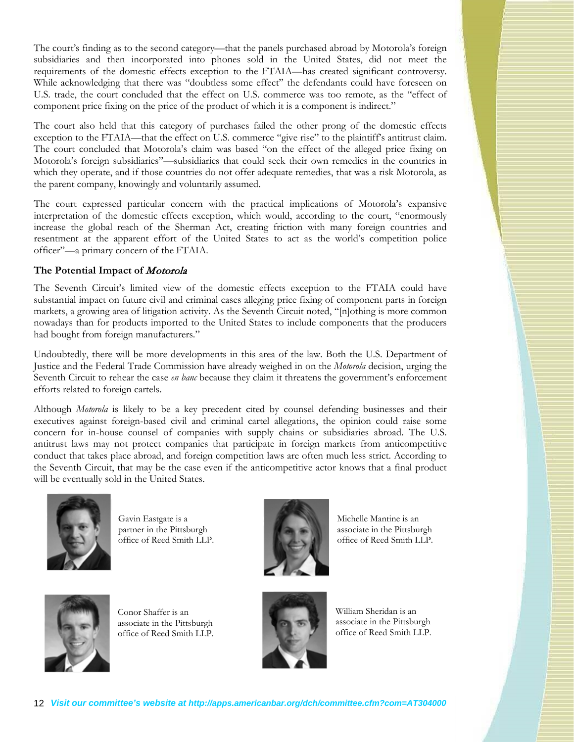The court's finding as to the second category—that the panels purchased abroad by Motorola's foreign subsidiaries and then incorporated into phones sold in the United States, did not meet the requirements of the domestic effects exception to the FTAIA—has created significant controversy. While acknowledging that there was "doubtless some effect" the defendants could have foreseen on U.S. trade, the court concluded that the effect on U.S. commerce was too remote, as the "effect of component price fixing on the price of the product of which it is a component is indirect."

The court also held that this category of purchases failed the other prong of the domestic effects exception to the FTAIA—that the effect on U.S. commerce "give rise" to the plaintiff's antitrust claim. The court concluded that Motorola's claim was based "on the effect of the alleged price fixing on Motorola's foreign subsidiaries"—subsidiaries that could seek their own remedies in the countries in which they operate, and if those countries do not offer adequate remedies, that was a risk Motorola, as the parent company, knowingly and voluntarily assumed.

The court expressed particular concern with the practical implications of Motorola's expansive interpretation of the domestic effects exception, which would, according to the court, "enormously increase the global reach of the Sherman Act, creating friction with many foreign countries and resentment at the apparent effort of the United States to act as the world's competition police officer"—a primary concern of the FTAIA.

### **The Potential Impact of** Motorola

The Seventh Circuit's limited view of the domestic effects exception to the FTAIA could have substantial impact on future civil and criminal cases alleging price fixing of component parts in foreign markets, a growing area of litigation activity. As the Seventh Circuit noted, "[n]othing is more common nowadays than for products imported to the United States to include components that the producers had bought from foreign manufacturers."

Undoubtedly, there will be more developments in this area of the law. Both the U.S. Department of Justice and the Federal Trade Commission have already weighed in on the *Motorola* decision, urging the Seventh Circuit to rehear the case *en banc* because they claim it threatens the government's enforcement efforts related to foreign cartels.

Although *Motorola* is likely to be a key precedent cited by counsel defending businesses and their executives against foreign-based civil and criminal cartel allegations, the opinion could raise some concern for in-house counsel of companies with supply chains or subsidiaries abroad. The U.S. antitrust laws may not protect companies that participate in foreign markets from anticompetitive conduct that takes place abroad, and foreign competition laws are often much less strict. According to the Seventh Circuit, that may be the case even if the anticompetitive actor knows that a final product will be eventually sold in the United States.



Gavin Eastgate is a partner in the Pittsburgh office of Reed Smith LLP.



Michelle Mantine is an associate in the Pittsburgh office of Reed Smith LLP.



Conor Shaffer is an associate in the Pittsburgh office of Reed Smith LLP.



William Sheridan is an associate in the Pittsburgh office of Reed Smith LLP.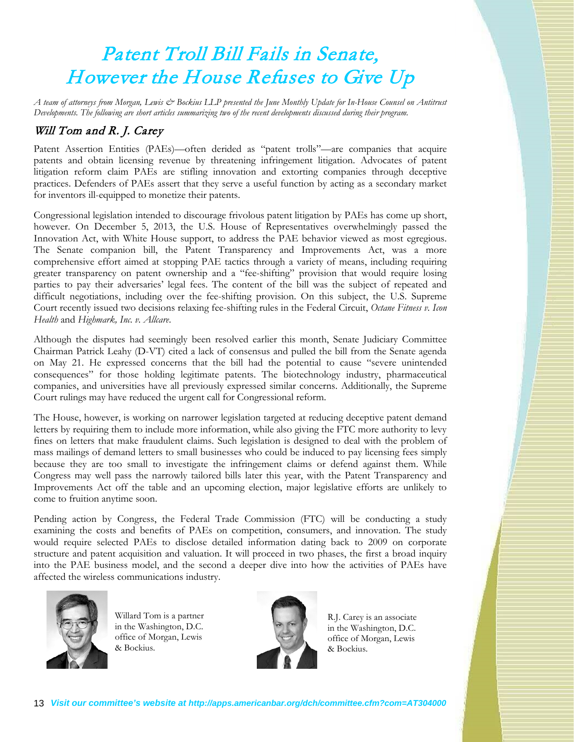# Patent Troll Bill Fails in Senate, However the House Refuses to Give Up

*A team of attorneys from Morgan, Lewis & Bockius LLP presented the June Monthly Update for In-House Counsel on Antitrust Developments. The following are short articles summarizing two of the recent developments discussed during their program.*

## Will Tom and R. J. Carey

Patent Assertion Entities (PAEs)—often derided as "patent trolls"—are companies that acquire patents and obtain licensing revenue by threatening infringement litigation. Advocates of patent litigation reform claim PAEs are stifling innovation and extorting companies through deceptive practices. Defenders of PAEs assert that they serve a useful function by acting as a secondary market for inventors ill-equipped to monetize their patents.

Congressional legislation intended to discourage frivolous patent litigation by PAEs has come up short, however. On December 5, 2013, the U.S. House of Representatives overwhelmingly passed the Innovation Act, with White House support, to address the PAE behavior viewed as most egregious. The Senate companion bill, the Patent Transparency and Improvements Act, was a more comprehensive effort aimed at stopping PAE tactics through a variety of means, including requiring greater transparency on patent ownership and a "fee-shifting" provision that would require losing parties to pay their adversaries' legal fees. The content of the bill was the subject of repeated and difficult negotiations, including over the fee-shifting provision. On this subject, the U.S. Supreme Court recently issued two decisions relaxing fee-shifting rules in the Federal Circuit, *Octane Fitness v. Icon Health* and *Highmark, Inc. v. Allcare*.

Although the disputes had seemingly been resolved earlier this month, Senate Judiciary Committee Chairman Patrick Leahy (D-VT) cited a lack of consensus and pulled the bill from the Senate agenda on May 21. He expressed concerns that the bill had the potential to cause "severe unintended consequences" for those holding legitimate patents. The biotechnology industry, pharmaceutical companies, and universities have all previously expressed similar concerns. Additionally, the Supreme Court rulings may have reduced the urgent call for Congressional reform.

The House, however, is working on narrower legislation targeted at reducing deceptive patent demand letters by requiring them to include more information, while also giving the FTC more authority to levy fines on letters that make fraudulent claims. Such legislation is designed to deal with the problem of mass mailings of demand letters to small businesses who could be induced to pay licensing fees simply because they are too small to investigate the infringement claims or defend against them. While Congress may well pass the narrowly tailored bills later this year, with the Patent Transparency and Improvements Act off the table and an upcoming election, major legislative efforts are unlikely to come to fruition anytime soon.

Pending action by Congress, the Federal Trade Commission (FTC) will be conducting a study examining the costs and benefits of PAEs on competition, consumers, and innovation. The study would require selected PAEs to disclose detailed information dating back to 2009 on corporate structure and patent acquisition and valuation. It will proceed in two phases, the first a broad inquiry into the PAE business model, and the second a deeper dive into how the activities of PAEs have affected the wireless communications industry.



Willard Tom is a partner in the Washington, D.C. office of Morgan, Lewis & Bockius.



R.J. Carey is an associate in the Washington, D.C. office of Morgan, Lewis & Bockius.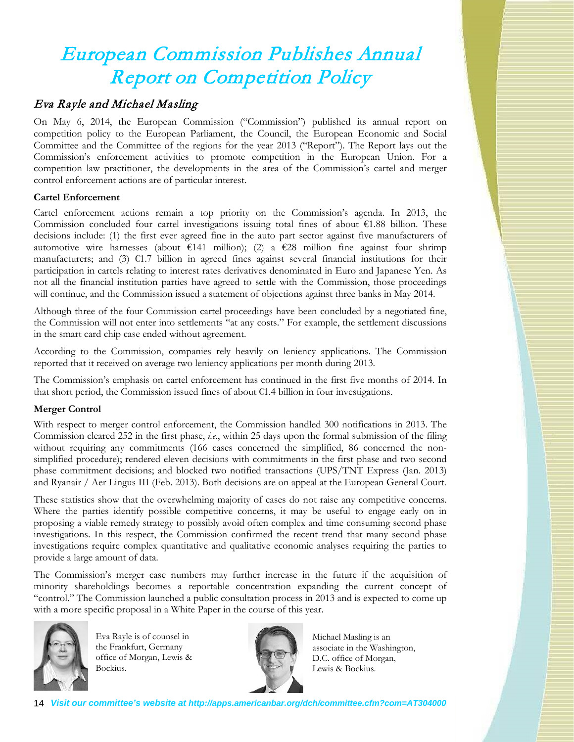# European Commission Publishes Annual Report on Competition Policy

## Eva Rayle and Michael Masling

On May 6, 2014, the European Commission ("Commission") published its annual report on competition policy to the European Parliament, the Council, the European Economic and Social Committee and the Committee of the regions for the year 2013 ("Report"). The Report lays out the Commission's enforcement activities to promote competition in the European Union. For a competition law practitioner, the developments in the area of the Commission's cartel and merger control enforcement actions are of particular interest.

### **Cartel Enforcement**

Cartel enforcement actions remain a top priority on the Commission's agenda. In 2013, the Commission concluded four cartel investigations issuing total fines of about €1.88 billion. These decisions include: (1) the first ever agreed fine in the auto part sector against five manufacturers of automotive wire harnesses (about €141 million); (2) a €28 million fine against four shrimp manufacturers; and (3)  $\epsilon$ 1.7 billion in agreed fines against several financial institutions for their participation in cartels relating to interest rates derivatives denominated in Euro and Japanese Yen. As not all the financial institution parties have agreed to settle with the Commission, those proceedings will continue, and the Commission issued a statement of objections against three banks in May 2014.

Although three of the four Commission cartel proceedings have been concluded by a negotiated fine, the Commission will not enter into settlements "at any costs." For example, the settlement discussions in the smart card chip case ended without agreement.

According to the Commission, companies rely heavily on leniency applications. The Commission reported that it received on average two leniency applications per month during 2013.

The Commission's emphasis on cartel enforcement has continued in the first five months of 2014. In that short period, the Commission issued fines of about  $\epsilon$ 1.4 billion in four investigations.

### **Merger Control**

With respect to merger control enforcement, the Commission handled 300 notifications in 2013. The Commission cleared 252 in the first phase, *i.e.*, within 25 days upon the formal submission of the filing without requiring any commitments (166 cases concerned the simplified, 86 concerned the nonsimplified procedure); rendered eleven decisions with commitments in the first phase and two second phase commitment decisions; and blocked two notified transactions (UPS/TNT Express (Jan. 2013) and Ryanair / Aer Lingus III (Feb. 2013). Both decisions are on appeal at the European General Court.

These statistics show that the overwhelming majority of cases do not raise any competitive concerns. Where the parties identify possible competitive concerns, it may be useful to engage early on in proposing a viable remedy strategy to possibly avoid often complex and time consuming second phase investigations. In this respect, the Commission confirmed the recent trend that many second phase investigations require complex quantitative and qualitative economic analyses requiring the parties to provide a large amount of data.

The Commission's merger case numbers may further increase in the future if the acquisition of minority shareholdings becomes a reportable concentration expanding the current concept of "control." The Commission launched a public consultation process in 2013 and is expected to come up with a more specific proposal in a White Paper in the course of this year.



Eva Rayle is of counsel in the Frankfurt, Germany office of Morgan, Lewis & Bockius.



Michael Masling is an associate in the Washington, D.C. office of Morgan, Lewis & Bockius.

14 *Visit our committee's website at http://apps.americanbar.org/dch/committee.cfm?com=AT304000*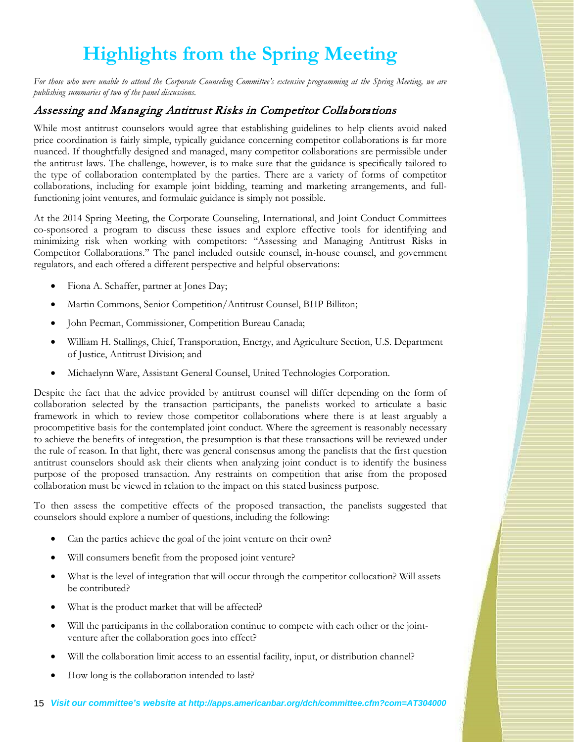# **Highlights from the Spring Meeting**

*For those who were unable to attend the Corporate Counseling Committee's extensive programming at the Spring Meeting, we are publishing summaries of two of the panel discussions.*

## Assessing and Managing Antitrust Risks in Competitor Collaborations

While most antitrust counselors would agree that establishing guidelines to help clients avoid naked price coordination is fairly simple, typically guidance concerning competitor collaborations is far more nuanced. If thoughtfully designed and managed, many competitor collaborations are permissible under the antitrust laws. The challenge, however, is to make sure that the guidance is specifically tailored to the type of collaboration contemplated by the parties. There are a variety of forms of competitor collaborations, including for example joint bidding, teaming and marketing arrangements, and fullfunctioning joint ventures, and formulaic guidance is simply not possible.

At the 2014 Spring Meeting, the Corporate Counseling, International, and Joint Conduct Committees co-sponsored a program to discuss these issues and explore effective tools for identifying and minimizing risk when working with competitors: "Assessing and Managing Antitrust Risks in Competitor Collaborations." The panel included outside counsel, in-house counsel, and government regulators, and each offered a different perspective and helpful observations:

- Fiona A. Schaffer, partner at Jones Day;
- Martin Commons, Senior Competition/Antitrust Counsel, BHP Billiton;
- John Pecman, Commissioner, Competition Bureau Canada;
- William H. Stallings, Chief, Transportation, Energy, and Agriculture Section, U.S. Department of Justice, Antitrust Division; and
- Michaelynn Ware, Assistant General Counsel, United Technologies Corporation.

Despite the fact that the advice provided by antitrust counsel will differ depending on the form of collaboration selected by the transaction participants, the panelists worked to articulate a basic framework in which to review those competitor collaborations where there is at least arguably a procompetitive basis for the contemplated joint conduct. Where the agreement is reasonably necessary to achieve the benefits of integration, the presumption is that these transactions will be reviewed under the rule of reason. In that light, there was general consensus among the panelists that the first question antitrust counselors should ask their clients when analyzing joint conduct is to identify the business purpose of the proposed transaction. Any restraints on competition that arise from the proposed collaboration must be viewed in relation to the impact on this stated business purpose.

To then assess the competitive effects of the proposed transaction, the panelists suggested that counselors should explore a number of questions, including the following:

- Can the parties achieve the goal of the joint venture on their own?
- Will consumers benefit from the proposed joint venture?
- What is the level of integration that will occur through the competitor collocation? Will assets be contributed?
- What is the product market that will be affected?
- Will the participants in the collaboration continue to compete with each other or the jointventure after the collaboration goes into effect?
- Will the collaboration limit access to an essential facility, input, or distribution channel?
- How long is the collaboration intended to last?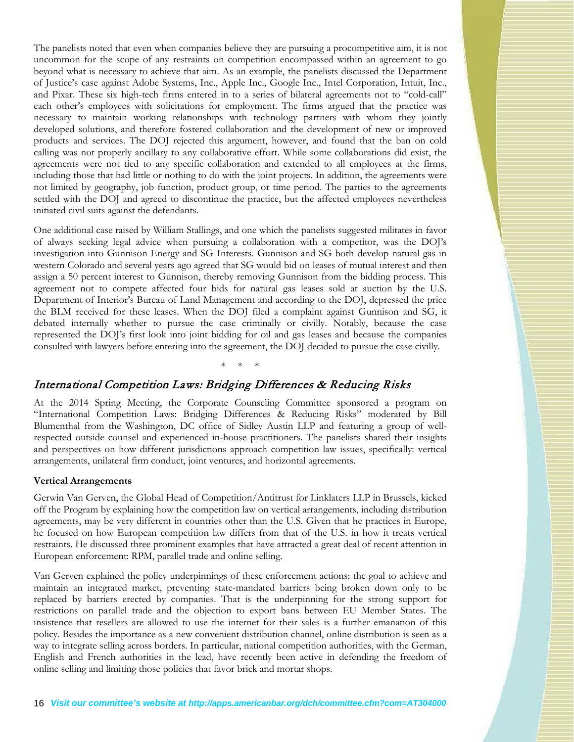The panelists noted that even when companies believe they are pursuing a procompetitive aim, it is not uncommon for the scope of any restraints on competition encompassed within an agreement to go beyond what is necessary to achieve that aim. As an example, the panelists discussed the Department of Justice's case against Adobe Systems, Inc., Apple Inc., Google Inc., Intel Corporation, Intuit, Inc., and Pixar. These six high-tech firms entered in to a series of bilateral agreements not to "cold-call" each other's employees with solicitations for employment. The firms argued that the practice was necessary to maintain working relationships with technology partners with whom they jointly developed solutions, and therefore fostered collaboration and the development of new or improved products and services. The DOJ rejected this argument, however, and found that the ban on cold calling was not properly ancillary to any collaborative effort. While some collaborations did exist, the agreements were not tied to any specific collaboration and extended to all employees at the firms, including those that had little or nothing to do with the joint projects. In addition, the agreements were not limited by geography, job function, product group, or time period. The parties to the agreements settled with the DOJ and agreed to discontinue the practice, but the affected employees nevertheless initiated civil suits against the defendants.

One additional case raised by William Stallings, and one which the panelists suggested militates in favor of always seeking legal advice when pursuing a collaboration with a competitor, was the DOJ's investigation into Gunnison Energy and SG Interests. Gunnison and SG both develop natural gas in western Colorado and several years ago agreed that SG would bid on leases of mutual interest and then assign a 50 percent interest to Gunnison, thereby removing Gunnison from the bidding process. This agreement not to compete affected four bids for natural gas leases sold at auction by the U.S. Department of Interior's Bureau of Land Management and according to the DOJ, depressed the price the BLM received for these leases. When the DOJ filed a complaint against Gunnison and SG, it debated internally whether to pursue the case criminally or civilly. Notably, because the case represented the DOJ's first look into joint bidding for oil and gas leases and because the companies consulted with lawyers before entering into the agreement, the DOJ decided to pursue the case civilly.

### International Competition Laws: Bridging Differences & Reducing Risks

At the 2014 Spring Meeting, the Corporate Counseling Committee sponsored a program on "International Competition Laws: Bridging Differences & Reducing Risks" moderated by Bill Blumenthal from the Washington, DC office of Sidley Austin LLP and featuring a group of wellrespected outside counsel and experienced in-house practitioners. The panelists shared their insights and perspectives on how different jurisdictions approach competition law issues, specifically: vertical arrangements, unilateral firm conduct, joint ventures, and horizontal agreements.

\* \* \*

### **Vertical Arrangements**

Gerwin Van Gerven, the Global Head of Competition/Antitrust for Linklaters LLP in Brussels, kicked off the Program by explaining how the competition law on vertical arrangements, including distribution agreements, may be very different in countries other than the U.S. Given that he practices in Europe, he focused on how European competition law differs from that of the U.S. in how it treats vertical restraints. He discussed three prominent examples that have attracted a great deal of recent attention in European enforcement: RPM, parallel trade and online selling.

Van Gerven explained the policy underpinnings of these enforcement actions: the goal to achieve and maintain an integrated market, preventing state-mandated barriers being broken down only to be replaced by barriers erected by companies. That is the underpinning for the strong support for restrictions on parallel trade and the objection to export bans between EU Member States. The insistence that resellers are allowed to use the internet for their sales is a further emanation of this policy. Besides the importance as a new convenient distribution channel, online distribution is seen as a way to integrate selling across borders. In particular, national competition authorities, with the German, English and French authorities in the lead, have recently been active in defending the freedom of online selling and limiting those policies that favor brick and mortar shops.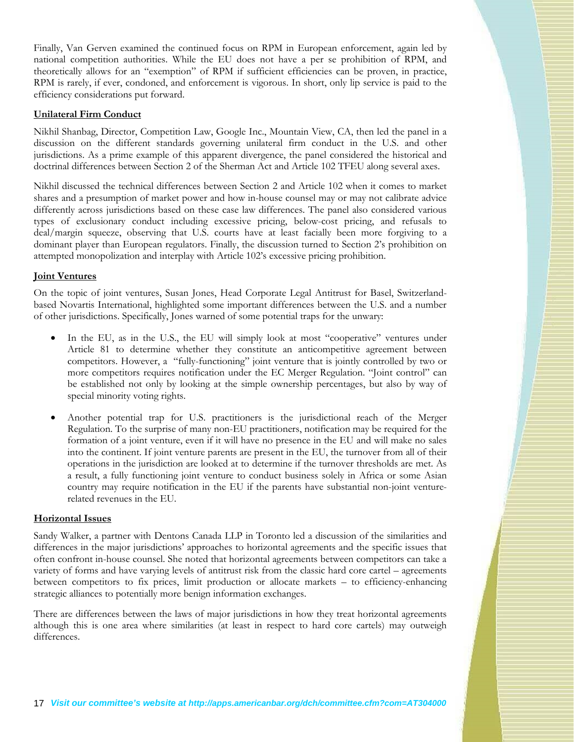Finally, Van Gerven examined the continued focus on RPM in European enforcement, again led by national competition authorities. While the EU does not have a per se prohibition of RPM, and theoretically allows for an "exemption" of RPM if sufficient efficiencies can be proven, in practice, RPM is rarely, if ever, condoned, and enforcement is vigorous. In short, only lip service is paid to the efficiency considerations put forward.

### **Unilateral Firm Conduct**

Nikhil Shanbag, Director, Competition Law, Google Inc., Mountain View, CA, then led the panel in a discussion on the different standards governing unilateral firm conduct in the U.S. and other jurisdictions. As a prime example of this apparent divergence, the panel considered the historical and doctrinal differences between Section 2 of the Sherman Act and Article 102 TFEU along several axes.

Nikhil discussed the technical differences between Section 2 and Article 102 when it comes to market shares and a presumption of market power and how in-house counsel may or may not calibrate advice differently across jurisdictions based on these case law differences. The panel also considered various types of exclusionary conduct including excessive pricing, below-cost pricing, and refusals to deal/margin squeeze, observing that U.S. courts have at least facially been more forgiving to a dominant player than European regulators. Finally, the discussion turned to Section 2's prohibition on attempted monopolization and interplay with Article 102's excessive pricing prohibition.

### **Joint Ventures**

On the topic of joint ventures, Susan Jones, Head Corporate Legal Antitrust for Basel, Switzerlandbased Novartis International, highlighted some important differences between the U.S. and a number of other jurisdictions. Specifically, Jones warned of some potential traps for the unwary:

- In the EU, as in the U.S., the EU will simply look at most "cooperative" ventures under Article 81 to determine whether they constitute an anticompetitive agreement between competitors. However, a "fully-functioning" joint venture that is jointly controlled by two or more competitors requires notification under the EC Merger Regulation. "Joint control" can be established not only by looking at the simple ownership percentages, but also by way of special minority voting rights.
- Another potential trap for U.S. practitioners is the jurisdictional reach of the Merger Regulation. To the surprise of many non-EU practitioners, notification may be required for the formation of a joint venture, even if it will have no presence in the EU and will make no sales into the continent. If joint venture parents are present in the EU, the turnover from all of their operations in the jurisdiction are looked at to determine if the turnover thresholds are met. As a result, a fully functioning joint venture to conduct business solely in Africa or some Asian country may require notification in the EU if the parents have substantial non-joint venturerelated revenues in the EU.

#### **Horizontal Issues**

Sandy Walker, a partner with Dentons Canada LLP in Toronto led a discussion of the similarities and differences in the major jurisdictions' approaches to horizontal agreements and the specific issues that often confront in-house counsel. She noted that horizontal agreements between competitors can take a variety of forms and have varying levels of antitrust risk from the classic hard core cartel – agreements between competitors to fix prices, limit production or allocate markets – to efficiency-enhancing strategic alliances to potentially more benign information exchanges.

There are differences between the laws of major jurisdictions in how they treat horizontal agreements although this is one area where similarities (at least in respect to hard core cartels) may outweigh differences.